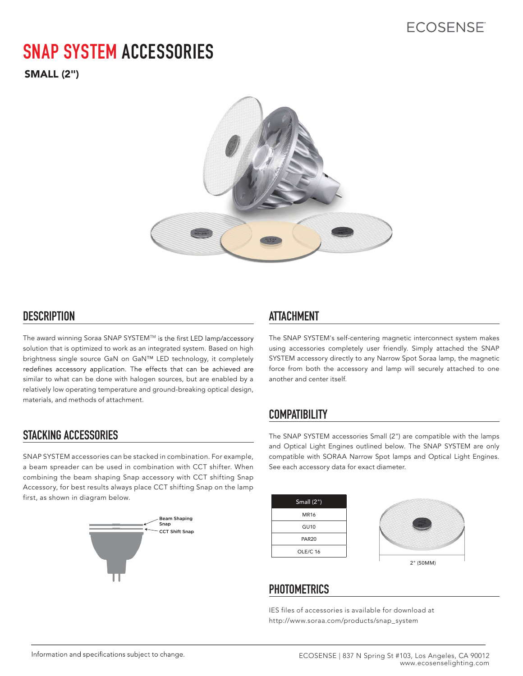# **SNAP SYSTEM ACCESSORIES**

SMALL (2")



### **DESCRIPTION ATTACHMENT**

The award winning Soraa SNAP SYSTEM™ is the first LED lamp/accessory solution that is optimized to work as an integrated system. Based on high brightness single source GaN on GaN™ LED technology, it completely redefines accessory application. The effects that can be achieved are similar to what can be done with halogen sources, but are enabled by a relatively low operating temperature and ground-breaking optical design, materials, and methods of attachment.

## **STACKING ACCESSORIES**

SNAP SYSTEM accessories can be stacked in combination. For example, a beam spreader can be used in combination with CCT shifter. When combining the beam shaping Snap accessory with CCT shifting Snap Accessory, for best results always place CCT shifting Snap on the lamp first, as shown in diagram below.



The SNAP SYSTEM's self-centering magnetic interconnect system makes using accessories completely user friendly. Simply attached the SNAP SYSTEM accessory directly to any Narrow Spot Soraa lamp, the magnetic force from both the accessory and lamp will securely attached to one another and center itself.

## **COMPATIBILITY**

The SNAP SYSTEM accessories Small (2") are compatible with the lamps and Optical Light Engines outlined below. The SNAP SYSTEM are only compatible with SORAA Narrow Spot lamps and Optical Light Engines. See each accessory data for exact diameter.

| Small $(2")$ |           |
|--------------|-----------|
| <b>MR16</b>  |           |
| <b>GU10</b>  | 2局        |
| <b>PAR20</b> |           |
| OLE/C 16     |           |
|              | 2" (50MM) |

## **PHOTOMETRICS**

IES files of accessories is available for download at http://www.soraa.com/products/snap\_system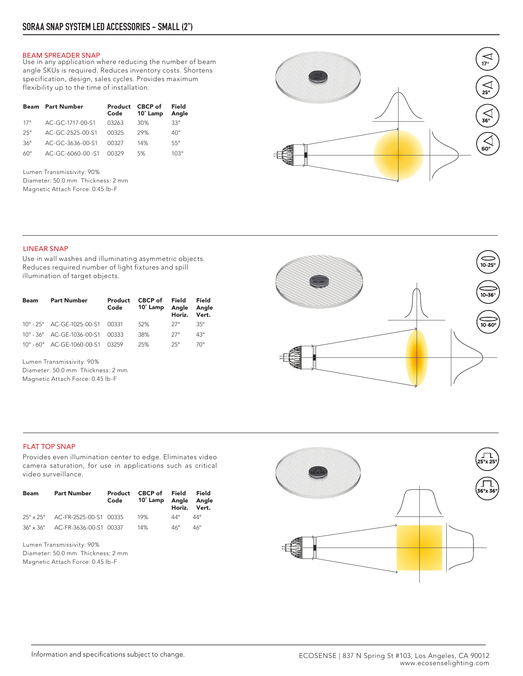#### BEAM SPREADER SNAP

Use in any application where reducing the number of beam angle SKUs is required. Reduces inventory costs. Shortens specification, design, sales cycles. Provides maximum flexibility up to the time of installation.

| <b>Beam</b> | <b>Part Number</b> | Product<br>Code | CBCP of<br>10° Lamp | Field<br>Angle |
|-------------|--------------------|-----------------|---------------------|----------------|
| 17°         | AC-GC-1717-00-S1   | 03263           | 30%                 | $33^\circ$     |
| $25^\circ$  | AC-GC-2525-00-S1   | 00325           | 29%                 | $40^{\circ}$   |
| $36^\circ$  | AC-GC-3636-00-S1   | 00327           | 14%                 | $55^\circ$     |
| $60^\circ$  | AC-GC-6060-00-S1   | 00329           | 5%                  | $103^\circ$    |

Lumen Transmissivity: 90% Diameter: 50.0 mm Thickness: 2 mm Magnetic Attach Force: 0.45 lb-F



### LINEAR SNAP

Use in wall washes and illuminating asymmetric objects. Reduces required number of light fixtures and spill illumination of target objects.

| Beam | <b>Part Number</b>                               | Product<br>Code | CBCP of Field<br>10° Lamp Angle Angle | Horiz. Vert. | Field      |
|------|--------------------------------------------------|-----------------|---------------------------------------|--------------|------------|
|      | $10^{\circ} - 25^{\circ}$ AC-GE-1025-00-S1 00331 |                 | 52%                                   | $27^\circ$   | $35^\circ$ |
|      | 10° - 36° AC-GE-1036-00-S1 00333                 |                 | 38%                                   | $27^\circ$   | $43^\circ$ |
|      | 10° - 60° AC-GE-1060-00-S1 03259                 |                 | 25%                                   | $25^\circ$   | 70°        |

Lumen Transmissivity: 90% Diameter: 50.0 mm Thickness: 2 mm Magnetic Attach Force: 0.45 lb-F



#### FLAT TOP SNAP

Provides even illumination center to edge. Eliminates video camera saturation, for use in applications such as critical video surveillance.

| Beam | <b>Part Number</b>               | Product<br>Code | CBCP of Field<br>10° Lamp Angle Angle | Horiz. Vert. | Field        |
|------|----------------------------------|-----------------|---------------------------------------|--------------|--------------|
|      | 25° x 25° AC-FR-2525-00-S1 00335 |                 | 19%                                   | $44^\circ$   | $44^{\circ}$ |
|      | 36° x 36° AC-FR-3636-00-S1 00337 |                 | 14%                                   | $46^\circ$   | $46^\circ$   |

Lumen Transmissivity: 90% Diameter: 50.0 mm Thickness: 2 mm Magnetic Attach Force: 0.45 lb-F

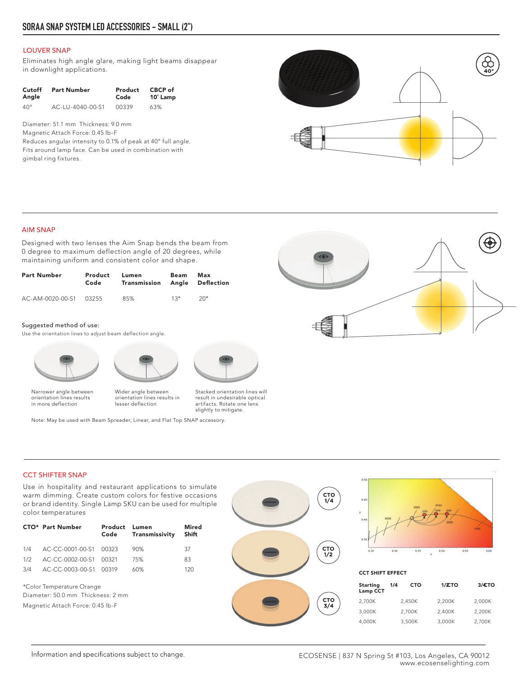#### LOUVER SNAP

Eliminates high angle glare, making light beams disappear in downlight applications.

| Cutoff       | <b>Part Number</b> | Product | CBCP of  |
|--------------|--------------------|---------|----------|
| Angle        |                    | Code    | 10° Lamp |
| $40^{\circ}$ | AC-LU-4040-00-S1   | 00339   | 63%      |

Diameter: 51.1 mm Thickness: 9.0 mm Magnetic Attach Force: 0.45 lb-F

Reduces angular intensity to 0.1% of peak at 40° full angle. Fits around lamp face. Can be used in combination with gimbal ring fixtures.



#### AIM SNAP

Designed with two lenses the Aim Snap bends the beam from 0 degree to maximum deflection angle of 20 degrees, while maintaining uniform and consistent color and shape.

| <b>Part Number</b>     | Product<br>Code | Lumen<br>Transmission | Beam | Max<br>Angle Deflection |
|------------------------|-----------------|-----------------------|------|-------------------------|
| AC-AM-0020-00-S1 03255 |                 | 85%                   | 13°  | $20^{\circ}$            |

#### Suggested method of use:

Use the orientation lines to adjust beam deflection angle.







Wider angle between orientation lines results in lesser deflection

Stacked orientation lines will result in undesirable optical artifacts. Rotate one lens slightly to mitigate.

Note: May be used with Beam Spreader, Linear, and Flat Top SNAP accessory.



Use in hospitality and restaurant applications to simulate warm dimming. Create custom colors for festive occasions or brand identity. Single Lamp SKU can be used for multiple color temperatures

|     | <b>CTO*</b> Part Number    | Product Lumen<br>Code | Transmissivity | Mired<br>Shift |
|-----|----------------------------|-----------------------|----------------|----------------|
|     | 1/4 AC-CC-0001-00-S1 00323 |                       | 90%            | 37             |
| 1/2 | AC-CC-0002-00-S1 00321     |                       | 75%            | 83             |
|     | 3/4 AC-CC-0003-00-S1 00319 |                       | 60%            | 120            |
|     |                            |                       |                |                |

\*Color Temperature Orange Diameter: 50.0 mm Thickness: 2 mm Magnetic Attach Force: 0.45 lb-F